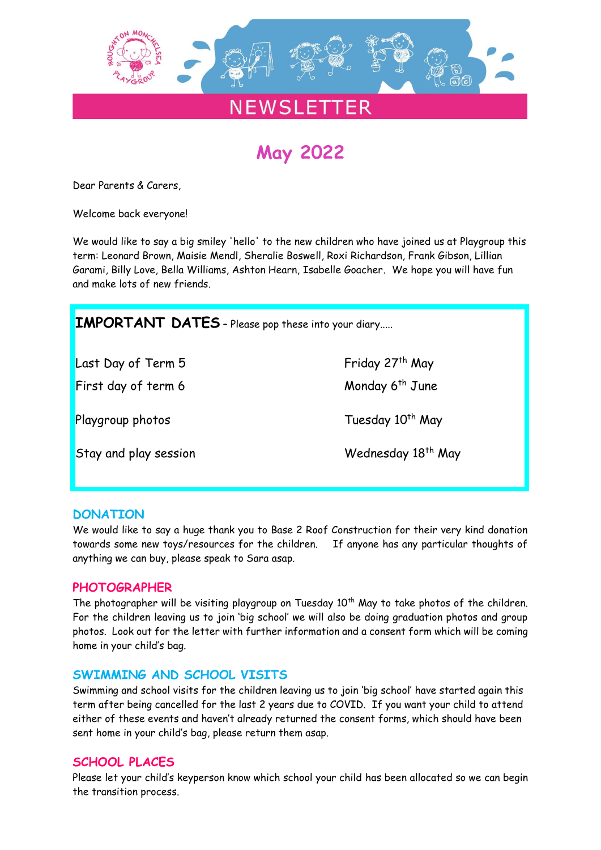

# **May 2022**

Dear Parents & Carers,

Welcome back everyone!

We would like to say a big smiley 'hello' to the new children who have joined us at Playgroup this term: Leonard Brown, Maisie Mendl, Sheralie Boswell, Roxi Richardson, Frank Gibson, Lillian Garami, Billy Love, Bella Williams, Ashton Hearn, Isabelle Goacher. We hope you will have fun and make lots of new friends.

| <b>IMPORTANT DATES</b> - Please pop these into your diary |                                |
|-----------------------------------------------------------|--------------------------------|
| Last Day of Term 5                                        | Friday 27 <sup>th</sup> May    |
| First day of term 6                                       | Monday 6 <sup>th</sup> June    |
| Playgroup photos                                          | Tuesday 10 <sup>th</sup> May   |
| Stay and play session                                     | Wednesday 18 <sup>th</sup> May |

# **DONATION**

We would like to say a huge thank you to Base 2 Roof Construction for their very kind donation towards some new toys/resources for the children. If anyone has any particular thoughts of anything we can buy, please speak to Sara asap.

# **PHOTOGRAPHER**

The photographer will be visiting playgroup on Tuesday  $10<sup>th</sup>$  May to take photos of the children. For the children leaving us to join 'big school' we will also be doing graduation photos and group photos. Look out for the letter with further information and a consent form which will be coming home in your child's bag.

# **SWIMMING AND SCHOOL VISITS**

Swimming and school visits for the children leaving us to join 'big school' have started again this term after being cancelled for the last 2 years due to COVID. If you want your child to attend either of these events and haven't already returned the consent forms, which should have been sent home in your child's bag, please return them asap.

# **SCHOOL PLACES**

Please let your child's keyperson know which school your child has been allocated so we can begin the transition process.